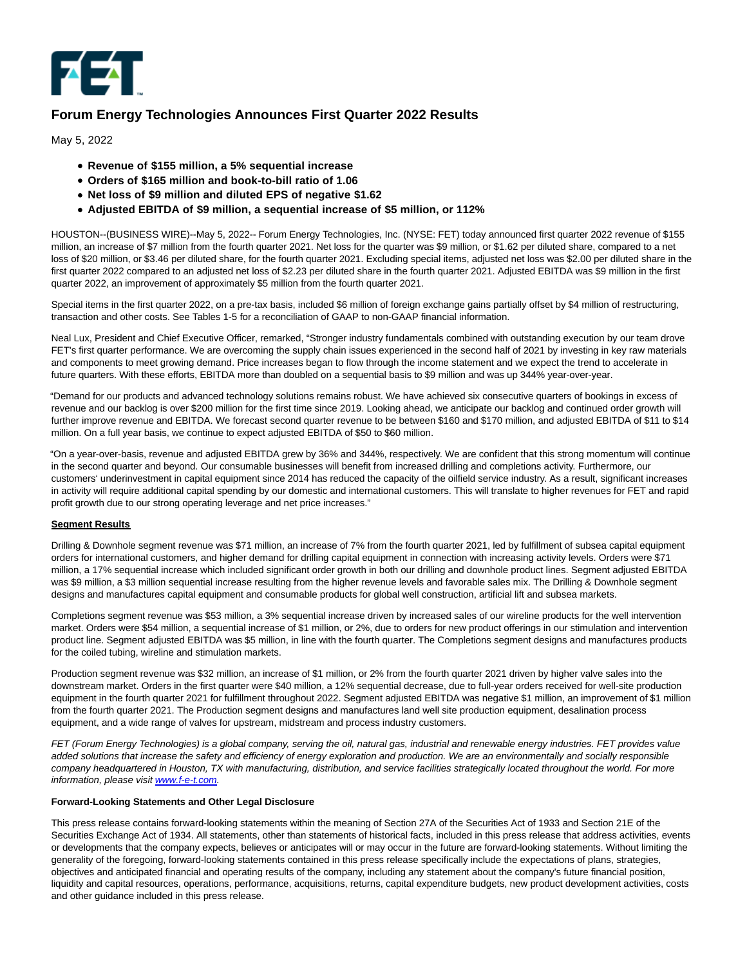

## **Forum Energy Technologies Announces First Quarter 2022 Results**

May 5, 2022

- **Revenue of \$155 million, a 5% sequential increase**
- **Orders of \$165 million and book-to-bill ratio of 1.06**
- **Net loss of \$9 million and diluted EPS of negative \$1.62**
- **Adjusted EBITDA of \$9 million, a sequential increase of \$5 million, or 112%**

HOUSTON--(BUSINESS WIRE)--May 5, 2022-- Forum Energy Technologies, Inc. (NYSE: FET) today announced first quarter 2022 revenue of \$155 million, an increase of \$7 million from the fourth quarter 2021. Net loss for the quarter was \$9 million, or \$1.62 per diluted share, compared to a net loss of \$20 million, or \$3.46 per diluted share, for the fourth quarter 2021. Excluding special items, adjusted net loss was \$2.00 per diluted share in the first quarter 2022 compared to an adjusted net loss of \$2.23 per diluted share in the fourth quarter 2021. Adjusted EBITDA was \$9 million in the first quarter 2022, an improvement of approximately \$5 million from the fourth quarter 2021.

Special items in the first quarter 2022, on a pre-tax basis, included \$6 million of foreign exchange gains partially offset by \$4 million of restructuring, transaction and other costs. See Tables 1-5 for a reconciliation of GAAP to non-GAAP financial information.

Neal Lux, President and Chief Executive Officer, remarked, "Stronger industry fundamentals combined with outstanding execution by our team drove FET's first quarter performance. We are overcoming the supply chain issues experienced in the second half of 2021 by investing in key raw materials and components to meet growing demand. Price increases began to flow through the income statement and we expect the trend to accelerate in future quarters. With these efforts, EBITDA more than doubled on a sequential basis to \$9 million and was up 344% year-over-year.

"Demand for our products and advanced technology solutions remains robust. We have achieved six consecutive quarters of bookings in excess of revenue and our backlog is over \$200 million for the first time since 2019. Looking ahead, we anticipate our backlog and continued order growth will further improve revenue and EBITDA. We forecast second quarter revenue to be between \$160 and \$170 million, and adjusted EBITDA of \$11 to \$14 million. On a full year basis, we continue to expect adjusted EBITDA of \$50 to \$60 million.

"On a year-over-basis, revenue and adjusted EBITDA grew by 36% and 344%, respectively. We are confident that this strong momentum will continue in the second quarter and beyond. Our consumable businesses will benefit from increased drilling and completions activity. Furthermore, our customers' underinvestment in capital equipment since 2014 has reduced the capacity of the oilfield service industry. As a result, significant increases in activity will require additional capital spending by our domestic and international customers. This will translate to higher revenues for FET and rapid profit growth due to our strong operating leverage and net price increases."

#### **Segment Results**

Drilling & Downhole segment revenue was \$71 million, an increase of 7% from the fourth quarter 2021, led by fulfillment of subsea capital equipment orders for international customers, and higher demand for drilling capital equipment in connection with increasing activity levels. Orders were \$71 million, a 17% sequential increase which included significant order growth in both our drilling and downhole product lines. Segment adjusted EBITDA was \$9 million, a \$3 million sequential increase resulting from the higher revenue levels and favorable sales mix. The Drilling & Downhole segment designs and manufactures capital equipment and consumable products for global well construction, artificial lift and subsea markets.

Completions segment revenue was \$53 million, a 3% sequential increase driven by increased sales of our wireline products for the well intervention market. Orders were \$54 million, a sequential increase of \$1 million, or 2%, due to orders for new product offerings in our stimulation and intervention product line. Segment adjusted EBITDA was \$5 million, in line with the fourth quarter. The Completions segment designs and manufactures products for the coiled tubing, wireline and stimulation markets.

Production segment revenue was \$32 million, an increase of \$1 million, or 2% from the fourth quarter 2021 driven by higher valve sales into the downstream market. Orders in the first quarter were \$40 million, a 12% sequential decrease, due to full-year orders received for well-site production equipment in the fourth quarter 2021 for fulfillment throughout 2022. Segment adjusted EBITDA was negative \$1 million, an improvement of \$1 million from the fourth quarter 2021. The Production segment designs and manufactures land well site production equipment, desalination process equipment, and a wide range of valves for upstream, midstream and process industry customers.

FET (Forum Energy Technologies) is a global company, serving the oil, natural gas, industrial and renewable energy industries. FET provides value added solutions that increase the safety and efficiency of energy exploration and production. We are an environmentally and socially responsible company headquartered in Houston, TX with manufacturing, distribution, and service facilities strategically located throughout the world. For more information, please visi[t www.f-e-t.com.](https://cts.businesswire.com/ct/CT?id=smartlink&url=http%3A%2F%2Fwww.f-e-t.com&esheet=52709969&newsitemid=20220505005912&lan=en-US&anchor=www.f-e-t.com&index=1&md5=30daeb479a07591ef691f74f8f8b6755)

#### **Forward-Looking Statements and Other Legal Disclosure**

This press release contains forward-looking statements within the meaning of Section 27A of the Securities Act of 1933 and Section 21E of the Securities Exchange Act of 1934. All statements, other than statements of historical facts, included in this press release that address activities, events or developments that the company expects, believes or anticipates will or may occur in the future are forward-looking statements. Without limiting the generality of the foregoing, forward-looking statements contained in this press release specifically include the expectations of plans, strategies, objectives and anticipated financial and operating results of the company, including any statement about the company's future financial position, liquidity and capital resources, operations, performance, acquisitions, returns, capital expenditure budgets, new product development activities, costs and other guidance included in this press release.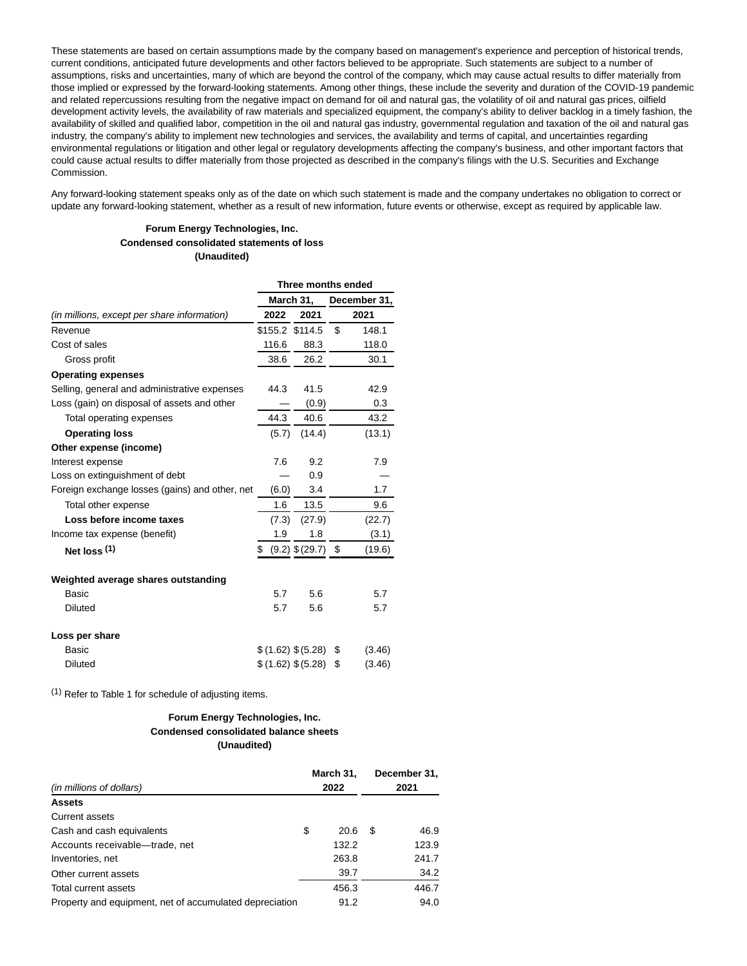These statements are based on certain assumptions made by the company based on management's experience and perception of historical trends, current conditions, anticipated future developments and other factors believed to be appropriate. Such statements are subject to a number of assumptions, risks and uncertainties, many of which are beyond the control of the company, which may cause actual results to differ materially from those implied or expressed by the forward-looking statements. Among other things, these include the severity and duration of the COVID-19 pandemic and related repercussions resulting from the negative impact on demand for oil and natural gas, the volatility of oil and natural gas prices, oilfield development activity levels, the availability of raw materials and specialized equipment, the company's ability to deliver backlog in a timely fashion, the availability of skilled and qualified labor, competition in the oil and natural gas industry, governmental regulation and taxation of the oil and natural gas industry, the company's ability to implement new technologies and services, the availability and terms of capital, and uncertainties regarding environmental regulations or litigation and other legal or regulatory developments affecting the company's business, and other important factors that could cause actual results to differ materially from those projected as described in the company's filings with the U.S. Securities and Exchange Commission.

Any forward-looking statement speaks only as of the date on which such statement is made and the company undertakes no obligation to correct or update any forward-looking statement, whether as a result of new information, future events or otherwise, except as required by applicable law.

#### **Forum Energy Technologies, Inc. Condensed consolidated statements of loss (Unaudited)**

|                                                | Three months ended |                        |    |              |  |  |  |  |
|------------------------------------------------|--------------------|------------------------|----|--------------|--|--|--|--|
|                                                |                    | March 31,              |    | December 31, |  |  |  |  |
| (in millions, except per share information)    | 2022               | 2021                   |    | 2021         |  |  |  |  |
| Revenue                                        | \$155.2 \$114.5    |                        | \$ | 148.1        |  |  |  |  |
| Cost of sales                                  | 116.6              | 88.3                   |    | 118.0        |  |  |  |  |
| Gross profit                                   | 38.6               | 26.2                   |    | 30.1         |  |  |  |  |
| <b>Operating expenses</b>                      |                    |                        |    |              |  |  |  |  |
| Selling, general and administrative expenses   | 44.3               | 41.5                   |    | 42.9         |  |  |  |  |
| Loss (gain) on disposal of assets and other    |                    | (0.9)                  |    | 0.3          |  |  |  |  |
| Total operating expenses                       | 44.3               | 40.6                   |    | 43.2         |  |  |  |  |
| <b>Operating loss</b>                          | (5.7)              | (14.4)                 |    | (13.1)       |  |  |  |  |
| Other expense (income)                         |                    |                        |    |              |  |  |  |  |
| Interest expense                               | 7.6                | 9.2                    |    | 7.9          |  |  |  |  |
| Loss on extinguishment of debt                 |                    | 0.9                    |    |              |  |  |  |  |
| Foreign exchange losses (gains) and other, net | (6.0)              | 3.4                    |    | 1.7          |  |  |  |  |
| Total other expense                            | 1.6                | 13.5                   |    | 9.6          |  |  |  |  |
| Loss before income taxes                       | (7.3)              | (27.9)                 |    | (22.7)       |  |  |  |  |
| Income tax expense (benefit)                   | 1.9                | 1.8                    |    | (3.1)        |  |  |  |  |
| Net $loss(1)$                                  | \$                 | $(9.2)$ \$ $(29.7)$ \$ |    | (19.6)       |  |  |  |  |
| Weighted average shares outstanding            |                    |                        |    |              |  |  |  |  |
| Basic                                          | 5.7                | 5.6                    |    | 5.7          |  |  |  |  |
| <b>Diluted</b>                                 | 5.7                | 5.6                    |    | 5.7          |  |  |  |  |
| Loss per share                                 |                    |                        |    |              |  |  |  |  |
| Basic                                          |                    | \$ (1.62) \$ (5.28)    | \$ | (3.46)       |  |  |  |  |
| <b>Diluted</b>                                 |                    | \$(1.62) \$(5.28)      | \$ | (3.46)       |  |  |  |  |

(1) Refer to Table 1 for schedule of adjusting items.

#### **Forum Energy Technologies, Inc. Condensed consolidated balance sheets (Unaudited)**

| (in millions of dollars)                                |    | March 31,<br>2022 | December 31,<br>2021 |       |  |
|---------------------------------------------------------|----|-------------------|----------------------|-------|--|
| <b>Assets</b>                                           |    |                   |                      |       |  |
| Current assets                                          |    |                   |                      |       |  |
| Cash and cash equivalents                               | \$ | 20.6              | S                    | 46.9  |  |
| Accounts receivable-trade, net                          |    | 132.2             |                      | 123.9 |  |
| Inventories, net                                        |    | 263.8             |                      | 241.7 |  |
| Other current assets                                    |    | 39.7              |                      | 34.2  |  |
| Total current assets                                    |    | 456.3             |                      | 446.7 |  |
| Property and equipment, net of accumulated depreciation |    | 91.2              |                      | 94.0  |  |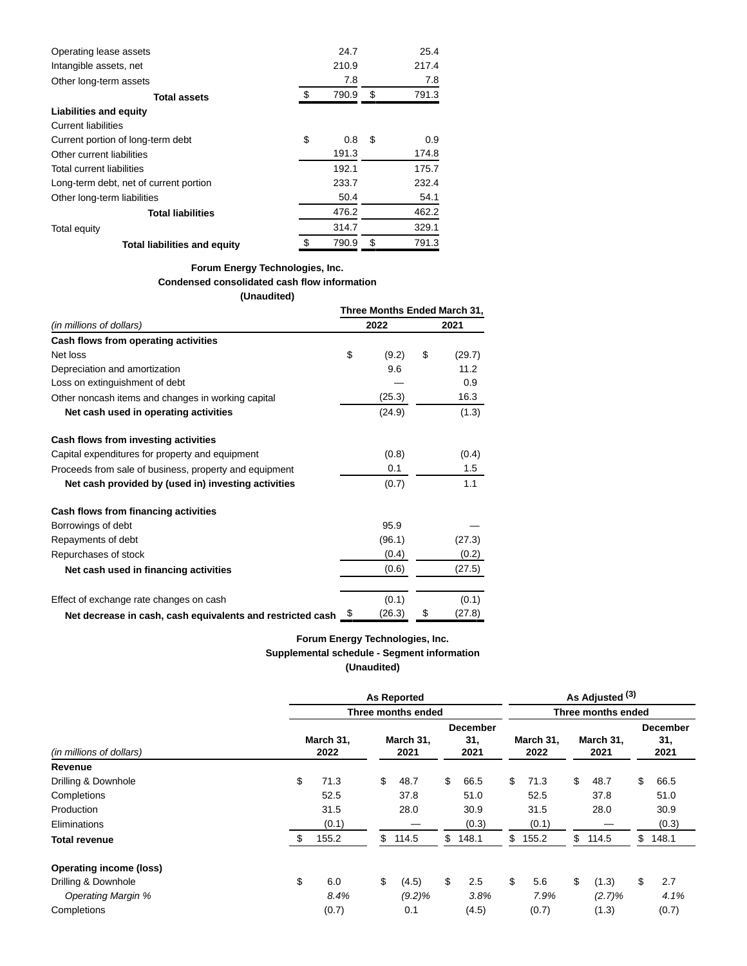| Operating lease assets                 | 24.7        | 25.4        |
|----------------------------------------|-------------|-------------|
| Intangible assets, net                 | 210.9       | 217.4       |
| Other long-term assets                 | 7.8         | 7.8         |
| <b>Total assets</b>                    | \$<br>790.9 | \$<br>791.3 |
| <b>Liabilities and equity</b>          |             |             |
| <b>Current liabilities</b>             |             |             |
| Current portion of long-term debt      | \$<br>0.8   | \$<br>0.9   |
| Other current liabilities              | 191.3       | 174.8       |
| Total current liabilities              | 192.1       | 175.7       |
| Long-term debt, net of current portion | 233.7       | 232.4       |
| Other long-term liabilities            | 50.4        | 54.1        |
| <b>Total liabilities</b>               | 476.2       | 462.2       |
| Total equity                           | 314.7       | 329.1       |
| <b>Total liabilities and equity</b>    | \$<br>790.9 | \$<br>791.3 |

### **Forum Energy Technologies, Inc. Condensed consolidated cash flow information**

# **(Unaudited)**

|                                                            | Three Months Ended March 31, |        |    |        |  |  |  |  |  |
|------------------------------------------------------------|------------------------------|--------|----|--------|--|--|--|--|--|
| (in millions of dollars)                                   |                              | 2022   |    | 2021   |  |  |  |  |  |
| Cash flows from operating activities                       |                              |        |    |        |  |  |  |  |  |
| Net loss                                                   | \$                           | (9.2)  | \$ | (29.7) |  |  |  |  |  |
| Depreciation and amortization                              |                              | 9.6    |    | 11.2   |  |  |  |  |  |
| Loss on extinguishment of debt                             |                              |        |    | 0.9    |  |  |  |  |  |
| Other noncash items and changes in working capital         |                              | (25.3) |    | 16.3   |  |  |  |  |  |
| Net cash used in operating activities                      |                              | (24.9) |    | (1.3)  |  |  |  |  |  |
| Cash flows from investing activities                       |                              |        |    |        |  |  |  |  |  |
| Capital expenditures for property and equipment            |                              | (0.8)  |    | (0.4)  |  |  |  |  |  |
| Proceeds from sale of business, property and equipment     |                              | 0.1    |    | 1.5    |  |  |  |  |  |
| Net cash provided by (used in) investing activities        |                              | (0.7)  |    | 1.1    |  |  |  |  |  |
| Cash flows from financing activities                       |                              |        |    |        |  |  |  |  |  |
| Borrowings of debt                                         |                              | 95.9   |    |        |  |  |  |  |  |
| Repayments of debt                                         |                              | (96.1) |    | (27.3) |  |  |  |  |  |
| Repurchases of stock                                       |                              | (0.4)  |    | (0.2)  |  |  |  |  |  |
| Net cash used in financing activities                      |                              | (0.6)  |    | (27.5) |  |  |  |  |  |
| Effect of exchange rate changes on cash                    |                              | (0.1)  |    | (0.1)  |  |  |  |  |  |
| Net decrease in cash, cash equivalents and restricted cash | \$                           | (26.3) | \$ | (27.8) |  |  |  |  |  |

## **Forum Energy Technologies, Inc. Supplemental schedule - Segment information (Unaudited)**

|                                | <b>As Reported</b> |    |                    |    |                                |                    |                   |    | As Adjusted (3)   |                                |       |  |  |  |  |  |  |
|--------------------------------|--------------------|----|--------------------|----|--------------------------------|--------------------|-------------------|----|-------------------|--------------------------------|-------|--|--|--|--|--|--|
|                                |                    |    | Three months ended |    |                                | Three months ended |                   |    |                   |                                |       |  |  |  |  |  |  |
| (in millions of dollars)       | March 31,<br>2022  |    | March 31,<br>2021  |    | <b>December</b><br>31,<br>2021 |                    | March 31,<br>2022 |    | March 31,<br>2021 | <b>December</b><br>31,<br>2021 |       |  |  |  |  |  |  |
| Revenue                        |                    |    |                    |    |                                |                    |                   |    |                   |                                |       |  |  |  |  |  |  |
| Drilling & Downhole            | \$<br>71.3         | \$ | 48.7               | \$ | 66.5                           | \$                 | 71.3              | \$ | 48.7              | \$                             | 66.5  |  |  |  |  |  |  |
| Completions                    | 52.5               |    | 37.8               |    | 51.0                           |                    | 52.5              |    | 37.8              |                                | 51.0  |  |  |  |  |  |  |
| Production                     | 31.5               |    | 28.0               |    | 30.9                           |                    | 31.5              |    | 28.0              |                                | 30.9  |  |  |  |  |  |  |
| Eliminations                   | (0.1)              |    |                    |    | (0.3)                          |                    | (0.1)             |    |                   |                                | (0.3) |  |  |  |  |  |  |
| <b>Total revenue</b>           | \$<br>155.2        | \$ | 114.5              | \$ | 148.1                          | \$                 | 155.2             | \$ | 114.5             | \$                             | 148.1 |  |  |  |  |  |  |
| <b>Operating income (loss)</b> |                    |    |                    |    |                                |                    |                   |    |                   |                                |       |  |  |  |  |  |  |
| Drilling & Downhole            | \$<br>6.0          | \$ | (4.5)              | \$ | 2.5                            | \$                 | 5.6               | \$ | (1.3)             | \$                             | 2.7   |  |  |  |  |  |  |
| <b>Operating Margin %</b>      | 8.4%               |    | $(9.2)\%$          |    | 3.8%                           |                    | 7.9%              |    | $(2.7)\%$         |                                | 4.1%  |  |  |  |  |  |  |
| Completions                    | (0.7)              |    | 0.1                |    | (4.5)                          |                    | (0.7)             |    | (1.3)             |                                | (0.7) |  |  |  |  |  |  |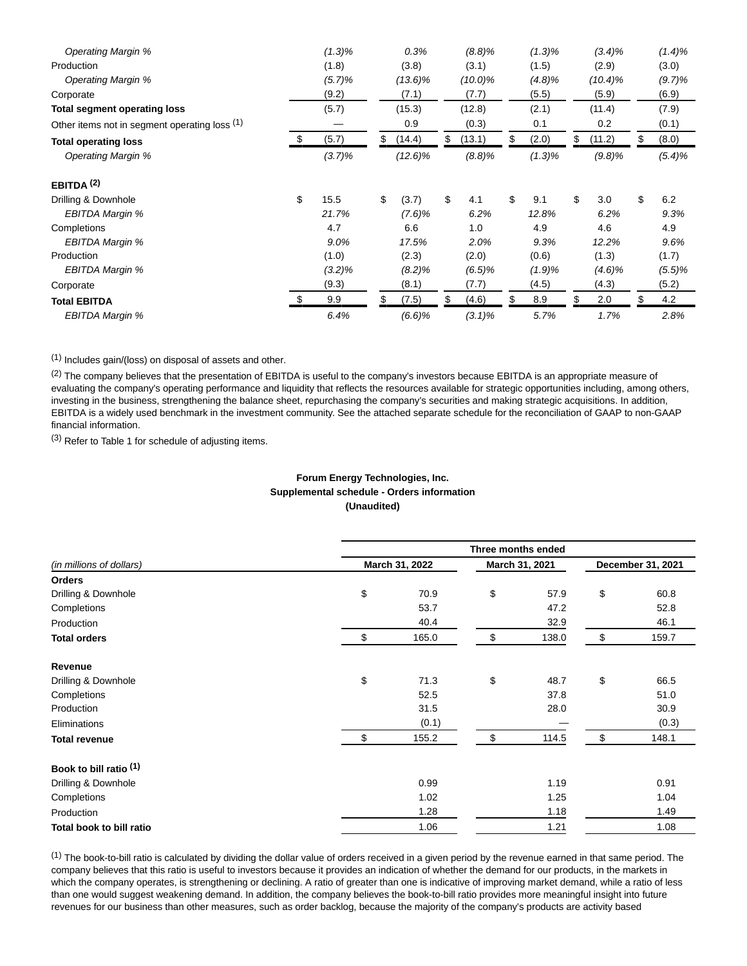| Operating Margin %                            | $(1.3)\%$   | 0.3%         | (8.8)%       |    | $(1.3)\%$ | $(3.4)\%$    | $(1.4)\%$   |
|-----------------------------------------------|-------------|--------------|--------------|----|-----------|--------------|-------------|
| Production                                    | (1.8)       | (3.8)        | (3.1)        |    | (1.5)     | (2.9)        | (3.0)       |
| <b>Operating Margin %</b>                     | (5.7)%      | (13.6)%      | $(10.0)\%$   |    | (4.8)%    | $(10.4)\%$   | (9.7)%      |
| Corporate                                     | (9.2)       | (7.1)        | (7.7)        |    | (5.5)     | (5.9)        | (6.9)       |
| <b>Total segment operating loss</b>           | (5.7)       | (15.3)       | (12.8)       |    | (2.1)     | (11.4)       | (7.9)       |
| Other items not in segment operating loss (1) |             | 0.9          | (0.3)        |    | 0.1       | 0.2          | (0.1)       |
| <b>Total operating loss</b>                   | \$<br>(5.7) | \$<br>(14.4) | \$<br>(13.1) | S  | (2.0)     | \$<br>(11.2) | \$<br>(8.0) |
| <b>Operating Margin %</b>                     | $(3.7)\%$   | $(12.6)\%$   | (8.8)%       |    | $(1.3)\%$ | $(9.8)\%$    | $(5.4)\%$   |
| EBITDA $(2)$                                  |             |              |              |    |           |              |             |
| Drilling & Downhole                           | \$<br>15.5  | \$<br>(3.7)  | \$<br>4.1    | \$ | 9.1       | \$<br>3.0    | \$<br>6.2   |
| EBITDA Margin %                               | 21.7%       | $(7.6)\%$    | 6.2%         |    | 12.8%     | 6.2%         | 9.3%        |
| Completions                                   | 4.7         | 6.6          | 1.0          |    | 4.9       | 4.6          | 4.9         |
| <b>EBITDA Margin %</b>                        | 9.0%        | 17.5%        | 2.0%         |    | 9.3%      | 12.2%        | 9.6%        |
| Production                                    | (1.0)       | (2.3)        | (2.0)        |    | (0.6)     | (1.3)        | (1.7)       |
| EBITDA Margin %                               | $(3.2)\%$   | (8.2)%       | (6.5)%       |    | (1.9)%    | $(4.6)\%$    | (5.5)%      |
| Corporate                                     | (9.3)       | (8.1)        | (7.7)        |    | (4.5)     | (4.3)        | (5.2)       |
| <b>Total EBITDA</b>                           | \$<br>9.9   | \$<br>(7.5)  | \$<br>(4.6)  | \$ | 8.9       | \$<br>2.0    | \$<br>4.2   |
| EBITDA Margin %                               | 6.4%        | (6.6)%       | $(3.1)\%$    |    | 5.7%      | 1.7%         | 2.8%        |

(1) Includes gain/(loss) on disposal of assets and other.

(2) The company believes that the presentation of EBITDA is useful to the company's investors because EBITDA is an appropriate measure of evaluating the company's operating performance and liquidity that reflects the resources available for strategic opportunities including, among others, investing in the business, strengthening the balance sheet, repurchasing the company's securities and making strategic acquisitions. In addition, EBITDA is a widely used benchmark in the investment community. See the attached separate schedule for the reconciliation of GAAP to non-GAAP financial information.

(3) Refer to Table 1 for schedule of adjusting items.

## **Forum Energy Technologies, Inc. Supplemental schedule - Orders information (Unaudited)**

|                          | Three months ended |                |    |                |                   |       |  |  |  |  |  |
|--------------------------|--------------------|----------------|----|----------------|-------------------|-------|--|--|--|--|--|
| (in millions of dollars) |                    | March 31, 2022 |    | March 31, 2021 | December 31, 2021 |       |  |  |  |  |  |
| <b>Orders</b>            |                    |                |    |                |                   |       |  |  |  |  |  |
| Drilling & Downhole      | \$                 | 70.9           | \$ | 57.9           | \$                | 60.8  |  |  |  |  |  |
| Completions              |                    | 53.7           |    | 47.2           |                   | 52.8  |  |  |  |  |  |
| Production               |                    | 40.4           |    | 32.9           |                   | 46.1  |  |  |  |  |  |
| <b>Total orders</b>      | \$                 | 165.0          | \$ | 138.0          | \$                | 159.7 |  |  |  |  |  |
| Revenue                  |                    |                |    |                |                   |       |  |  |  |  |  |
| Drilling & Downhole      | \$                 | 71.3           | \$ | 48.7           | \$                | 66.5  |  |  |  |  |  |
| Completions              |                    | 52.5           |    | 37.8           |                   | 51.0  |  |  |  |  |  |
| Production               |                    | 31.5           |    | 28.0           |                   | 30.9  |  |  |  |  |  |
| Eliminations             |                    | (0.1)          |    |                |                   | (0.3) |  |  |  |  |  |
| <b>Total revenue</b>     | \$                 | 155.2          | \$ | 114.5          | \$                | 148.1 |  |  |  |  |  |
| Book to bill ratio (1)   |                    |                |    |                |                   |       |  |  |  |  |  |
| Drilling & Downhole      |                    | 0.99           |    | 1.19           |                   | 0.91  |  |  |  |  |  |
| Completions              |                    | 1.02           |    | 1.25           |                   | 1.04  |  |  |  |  |  |
| Production               |                    | 1.28           |    | 1.18           |                   | 1.49  |  |  |  |  |  |
| Total book to bill ratio |                    | 1.06           |    | 1.21           |                   | 1.08  |  |  |  |  |  |

 $<sup>(1)</sup>$  The book-to-bill ratio is calculated by dividing the dollar value of orders received in a given period by the revenue earned in that same period. The</sup> company believes that this ratio is useful to investors because it provides an indication of whether the demand for our products, in the markets in which the company operates, is strengthening or declining. A ratio of greater than one is indicative of improving market demand, while a ratio of less than one would suggest weakening demand. In addition, the company believes the book-to-bill ratio provides more meaningful insight into future revenues for our business than other measures, such as order backlog, because the majority of the company's products are activity based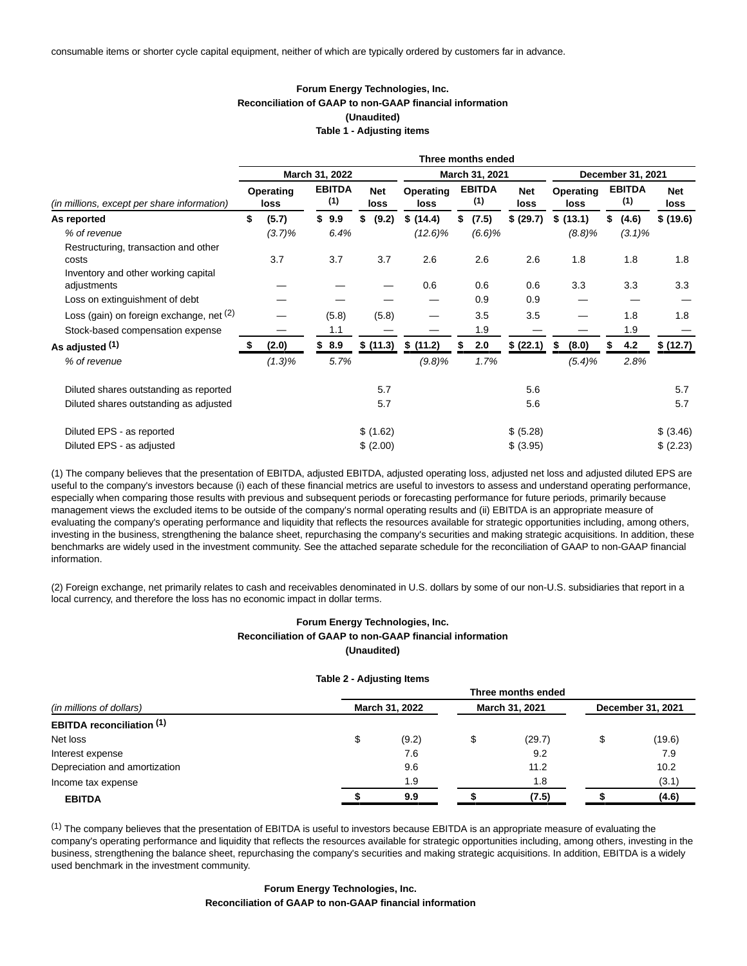#### **Forum Energy Technologies, Inc. Reconciliation of GAAP to non-GAAP financial information (Unaudited) Table 1 - Adjusting items**

|                                                    | Three months ended |           |                      |                |                    |                   |    |                      |                    |                   |           |                      |                   |                    |
|----------------------------------------------------|--------------------|-----------|----------------------|----------------|--------------------|-------------------|----|----------------------|--------------------|-------------------|-----------|----------------------|-------------------|--------------------|
|                                                    |                    |           |                      | March 31, 2022 |                    |                   |    | March 31, 2021       |                    |                   |           |                      | December 31, 2021 |                    |
| (in millions, except per share information)        | Operating<br>loss  |           | <b>EBITDA</b><br>(1) |                | <b>Net</b><br>loss | Operating<br>loss |    | <b>EBITDA</b><br>(1) | <b>Net</b><br>loss | Operating<br>loss |           | <b>EBITDA</b><br>(1) |                   | <b>Net</b><br>loss |
| As reported                                        | \$                 | (5.7)     |                      | \$9.9          | \$<br>(9.2)        | \$(14.4)          | \$ | (7.5)                | \$ (29.7)          | \$(13.1)          |           | \$                   | (4.6)             | \$ (19.6)          |
| % of revenue                                       |                    | $(3.7)\%$ |                      | 6.4%           |                    | (12.6)%           |    | (6.6)%               |                    |                   | (8.8)%    |                      | $(3.1)\%$         |                    |
| Restructuring, transaction and other               |                    |           |                      |                |                    |                   |    |                      |                    |                   |           |                      |                   |                    |
| costs                                              |                    | 3.7       |                      | 3.7            | 3.7                | 2.6               |    | 2.6                  | 2.6                |                   | 1.8       |                      | 1.8               | 1.8                |
| Inventory and other working capital<br>adjustments |                    |           |                      |                |                    | 0.6               |    | 0.6                  | 0.6                |                   | 3.3       |                      | 3.3               | 3.3                |
| Loss on extinguishment of debt                     |                    |           |                      |                |                    |                   |    | 0.9                  | 0.9                |                   |           |                      |                   |                    |
| Loss (gain) on foreign exchange, net (2)           |                    |           |                      | (5.8)          | (5.8)              |                   |    | 3.5                  | 3.5                |                   |           |                      | 1.8               | 1.8                |
| Stock-based compensation expense                   |                    |           |                      | 1.1            |                    |                   |    | 1.9                  |                    |                   |           |                      | 1.9               |                    |
| As adjusted (1)                                    |                    | (2.0)     |                      | \$8.9          | \$ (11.3)          | \$(11.2)          | æ. | 2.0                  | \$ (22.1)          | \$                | (8.0)     |                      | 4.2               | \$ (12.7)          |
| % of revenue                                       |                    | $(1.3)\%$ |                      | 5.7%           |                    | (9.8)%            |    | 1.7%                 |                    |                   | $(5.4)\%$ |                      | 2.8%              |                    |
| Diluted shares outstanding as reported             |                    |           |                      |                | 5.7                |                   |    |                      | 5.6                |                   |           |                      |                   | 5.7                |
| Diluted shares outstanding as adjusted             |                    |           |                      |                | 5.7                |                   |    |                      | 5.6                |                   |           |                      |                   | 5.7                |
| Diluted EPS - as reported                          |                    |           |                      |                | \$(1.62)           |                   |    |                      | \$ (5.28)          |                   |           |                      |                   | \$ (3.46)          |
| Diluted EPS - as adjusted                          |                    |           |                      |                | \$(2.00)           |                   |    |                      | \$ (3.95)          |                   |           |                      |                   | \$(2.23)           |

(1) The company believes that the presentation of EBITDA, adjusted EBITDA, adjusted operating loss, adjusted net loss and adjusted diluted EPS are useful to the company's investors because (i) each of these financial metrics are useful to investors to assess and understand operating performance, especially when comparing those results with previous and subsequent periods or forecasting performance for future periods, primarily because management views the excluded items to be outside of the company's normal operating results and (ii) EBITDA is an appropriate measure of evaluating the company's operating performance and liquidity that reflects the resources available for strategic opportunities including, among others, investing in the business, strengthening the balance sheet, repurchasing the company's securities and making strategic acquisitions. In addition, these benchmarks are widely used in the investment community. See the attached separate schedule for the reconciliation of GAAP to non-GAAP financial information.

(2) Foreign exchange, net primarily relates to cash and receivables denominated in U.S. dollars by some of our non-U.S. subsidiaries that report in a local currency, and therefore the loss has no economic impact in dollar terms.

## **Forum Energy Technologies, Inc. Reconciliation of GAAP to non-GAAP financial information (Unaudited)**

#### **Table 2 - Adjusting Items**

|                                  | Three months ended |       |                |        |                   |        |  |  |  |  |  |
|----------------------------------|--------------------|-------|----------------|--------|-------------------|--------|--|--|--|--|--|
| (in millions of dollars)         | March 31, 2022     |       | March 31, 2021 |        | December 31, 2021 |        |  |  |  |  |  |
| <b>EBITDA reconciliation (1)</b> |                    |       |                |        |                   |        |  |  |  |  |  |
| Net loss                         | ъ                  | (9.2) | \$             | (29.7) |                   | (19.6) |  |  |  |  |  |
| Interest expense                 |                    | 7.6   |                | 9.2    |                   | 7.9    |  |  |  |  |  |
| Depreciation and amortization    |                    | 9.6   |                | 11.2   |                   | 10.2   |  |  |  |  |  |
| Income tax expense               |                    | 1.9   |                | 1.8    |                   | (3.1)  |  |  |  |  |  |
| <b>EBITDA</b>                    |                    | 9.9   |                | (7.5)  |                   | (4.6)  |  |  |  |  |  |

 $<sup>(1)</sup>$  The company believes that the presentation of EBITDA is useful to investors because EBITDA is an appropriate measure of evaluating the</sup> company's operating performance and liquidity that reflects the resources available for strategic opportunities including, among others, investing in the business, strengthening the balance sheet, repurchasing the company's securities and making strategic acquisitions. In addition, EBITDA is a widely used benchmark in the investment community.

#### **Forum Energy Technologies, Inc. Reconciliation of GAAP to non-GAAP financial information**